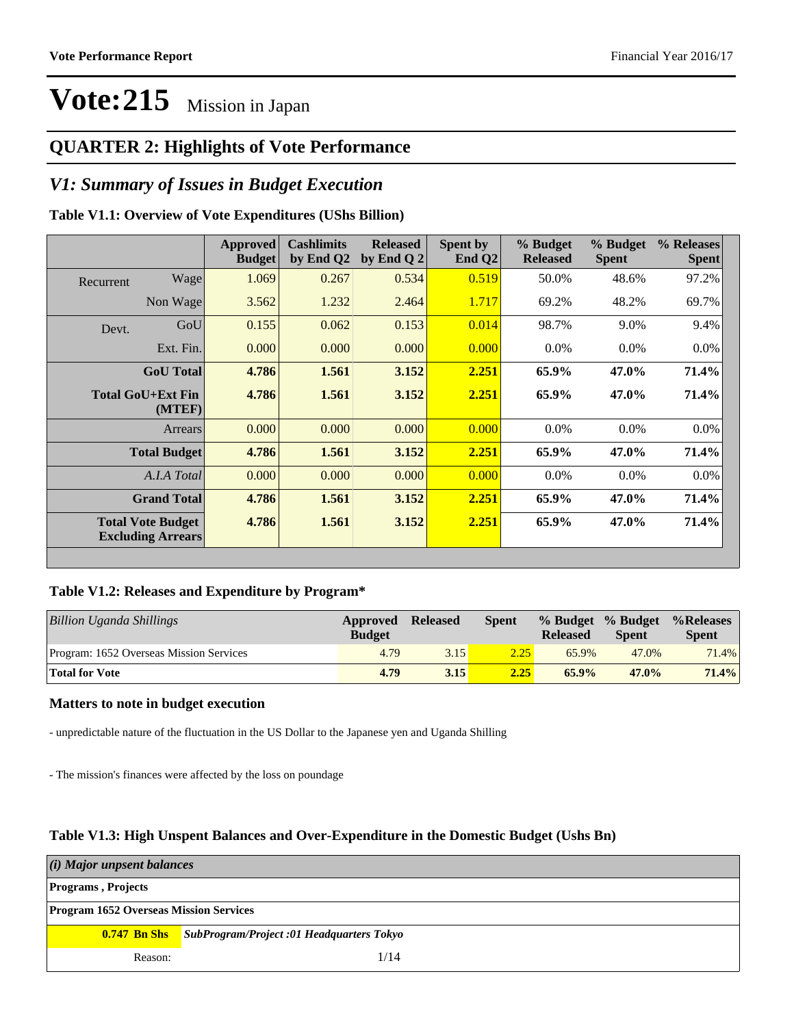### **QUARTER 2: Highlights of Vote Performance**

### *V1: Summary of Issues in Budget Execution*

### **Table V1.1: Overview of Vote Expenditures (UShs Billion)**

|           |                                                      | Approved<br><b>Budget</b> | <b>Cashlimits</b><br>by End Q2 | <b>Released</b><br>by End Q $2$ | Spent by<br>End $Q2$ | % Budget<br><b>Released</b> | % Budget<br><b>Spent</b> | % Releases<br><b>Spent</b> |
|-----------|------------------------------------------------------|---------------------------|--------------------------------|---------------------------------|----------------------|-----------------------------|--------------------------|----------------------------|
| Recurrent | Wage                                                 | 1.069                     | 0.267                          | 0.534                           | 0.519                | 50.0%                       | 48.6%                    | 97.2%                      |
|           | Non Wage                                             | 3.562                     | 1.232                          | 2.464                           | 1.717                | 69.2%                       | 48.2%                    | 69.7%                      |
| Devt.     | GoU                                                  | 0.155                     | 0.062                          | 0.153                           | 0.014                | 98.7%                       | 9.0%                     | 9.4%                       |
|           | Ext. Fin.                                            | 0.000                     | 0.000                          | 0.000                           | 0.000                | $0.0\%$                     | $0.0\%$                  | $0.0\%$                    |
|           | <b>GoU</b> Total                                     | 4.786                     | 1.561                          | 3.152                           | 2.251                | 65.9%                       | 47.0%                    | 71.4%                      |
|           | Total GoU+Ext Fin<br>(MTEF)                          | 4.786                     | 1.561                          | 3.152                           | 2.251                | 65.9%                       | 47.0%                    | 71.4%                      |
|           | Arrears                                              | 0.000                     | 0.000                          | 0.000                           | 0.000                | $0.0\%$                     | $0.0\%$                  | 0.0%                       |
|           | <b>Total Budget</b>                                  | 4.786                     | 1.561                          | 3.152                           | 2.251                | 65.9%                       | 47.0%                    | 71.4%                      |
|           | A.I.A Total                                          | 0.000                     | 0.000                          | 0.000                           | 0.000                | $0.0\%$                     | $0.0\%$                  | $0.0\%$                    |
|           | <b>Grand Total</b>                                   | 4.786                     | 1.561                          | 3.152                           | 2.251                | 65.9%                       | 47.0%                    | 71.4%                      |
|           | <b>Total Vote Budget</b><br><b>Excluding Arrears</b> | 4.786                     | 1.561                          | 3.152                           | 2.251                | 65.9%                       | 47.0%                    | 71.4%                      |

#### **Table V1.2: Releases and Expenditure by Program\***

| Billion Uganda Shillings                | Approved<br><b>Budget</b> | <b>Released</b> | Spent | <b>Released</b> | % Budget % Budget<br><b>Spent</b> | %Releases%<br><b>Spent</b> |
|-----------------------------------------|---------------------------|-----------------|-------|-----------------|-----------------------------------|----------------------------|
| Program: 1652 Overseas Mission Services | 4.79                      | 3.15            | 2.25  | 65.9%           | 47.0%                             | 71.4%                      |
| <b>Total for Vote</b>                   | 4.79                      | 3.15            | 2.25  | $65.9\%$        | $47.0\%$                          | 71.4%                      |

#### **Matters to note in budget execution**

- unpredictable nature of the fluctuation in the US Dollar to the Japanese yen and Uganda Shilling

- The mission's finances were affected by the loss on poundage

#### **Table V1.3: High Unspent Balances and Over-Expenditure in the Domestic Budget (Ushs Bn)**

| (i) Major unpsent balances                    |                                                               |  |  |  |  |
|-----------------------------------------------|---------------------------------------------------------------|--|--|--|--|
| <b>Programs</b> , Projects                    |                                                               |  |  |  |  |
| <b>Program 1652 Overseas Mission Services</b> |                                                               |  |  |  |  |
|                                               | <b>0.747 Bn Shs</b> SubProgram/Project :01 Headquarters Tokyo |  |  |  |  |
| Reason:                                       | 1/14                                                          |  |  |  |  |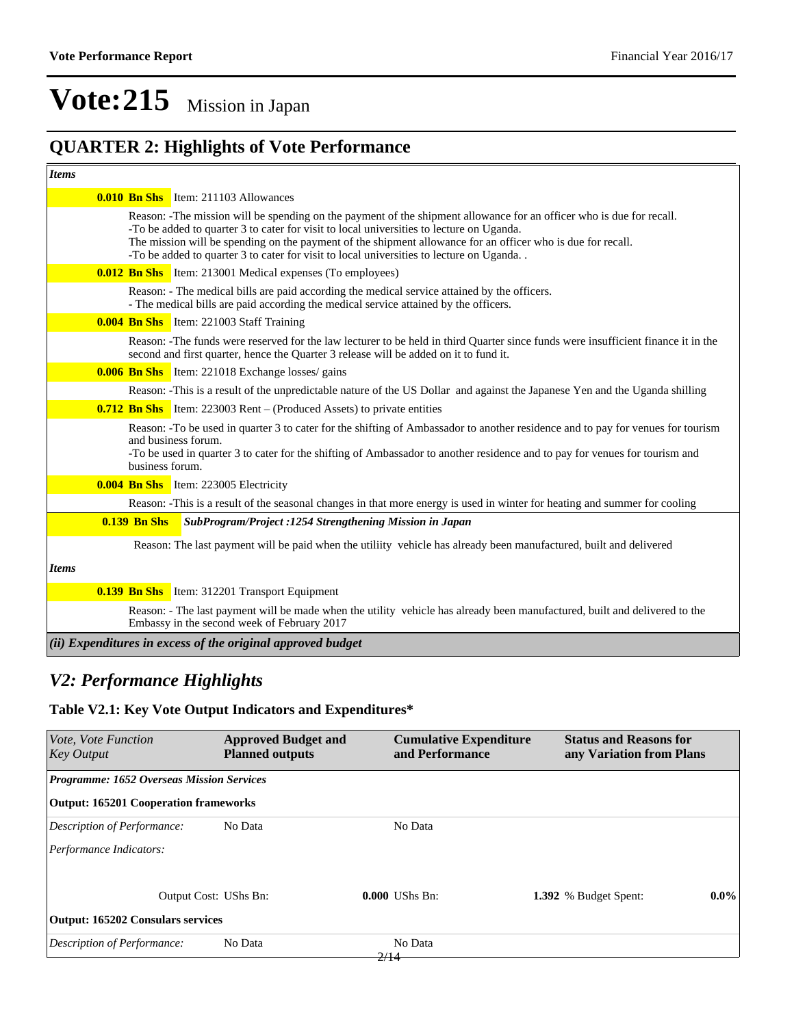## **QUARTER 2: Highlights of Vote Performance**

| <b>Items</b> |                     |                                                                                                                                                                                                                                                                                                                                                                                                                             |
|--------------|---------------------|-----------------------------------------------------------------------------------------------------------------------------------------------------------------------------------------------------------------------------------------------------------------------------------------------------------------------------------------------------------------------------------------------------------------------------|
|              |                     | <b>0.010 Bn Shs</b> Item: 211103 Allowances                                                                                                                                                                                                                                                                                                                                                                                 |
|              |                     | Reason: -The mission will be spending on the payment of the shipment allowance for an officer who is due for recall.<br>-To be added to quarter 3 to cater for visit to local universities to lecture on Uganda.<br>The mission will be spending on the payment of the shipment allowance for an officer who is due for recall.<br>-To be added to quarter 3 to cater for visit to local universities to lecture on Uganda. |
|              |                     | <b>0.012 Bn Shs</b> Item: 213001 Medical expenses (To employees)                                                                                                                                                                                                                                                                                                                                                            |
|              |                     | Reason: - The medical bills are paid according the medical service attained by the officers.<br>- The medical bills are paid according the medical service attained by the officers.                                                                                                                                                                                                                                        |
|              |                     | <b>0.004 Bn Shs</b> Item: 221003 Staff Training                                                                                                                                                                                                                                                                                                                                                                             |
|              |                     | Reason: -The funds were reserved for the law lecturer to be held in third Quarter since funds were insufficient finance it in the<br>second and first quarter, hence the Quarter 3 release will be added on it to fund it.                                                                                                                                                                                                  |
|              |                     | <b>0.006 Bn Shs</b> Item: 221018 Exchange losses/ gains                                                                                                                                                                                                                                                                                                                                                                     |
|              |                     | Reason: -This is a result of the unpredictable nature of the US Dollar and against the Japanese Yen and the Uganda shilling                                                                                                                                                                                                                                                                                                 |
|              |                     | <b>0.712 Bn Shs</b> Item: 223003 Rent – (Produced Assets) to private entities                                                                                                                                                                                                                                                                                                                                               |
|              | business forum.     | Reason: -To be used in quarter 3 to cater for the shifting of Ambassador to another residence and to pay for venues for tourism<br>and business forum.<br>-To be used in quarter 3 to cater for the shifting of Ambassador to another residence and to pay for venues for tourism and                                                                                                                                       |
|              |                     | <b>0.004 Bn Shs</b> Item: 223005 Electricity                                                                                                                                                                                                                                                                                                                                                                                |
|              |                     | Reason: -This is a result of the seasonal changes in that more energy is used in winter for heating and summer for cooling                                                                                                                                                                                                                                                                                                  |
|              | <b>0.139 Bn Shs</b> | SubProgram/Project: 1254 Strengthening Mission in Japan                                                                                                                                                                                                                                                                                                                                                                     |
|              |                     | Reason: The last payment will be paid when the utiliity vehicle has already been manufactured, built and delivered                                                                                                                                                                                                                                                                                                          |
| <b>Items</b> |                     |                                                                                                                                                                                                                                                                                                                                                                                                                             |
|              |                     | <b>0.139 Bn Shs</b> Item: 312201 Transport Equipment                                                                                                                                                                                                                                                                                                                                                                        |
|              |                     | Reason: - The last payment will be made when the utility vehicle has already been manufactured, built and delivered to the<br>Embassy in the second week of February 2017                                                                                                                                                                                                                                                   |
|              |                     | $(iii)$ Expenditures in excess of the original approved budget                                                                                                                                                                                                                                                                                                                                                              |

### *V2: Performance Highlights*

### **Table V2.1: Key Vote Output Indicators and Expenditures\***

| <b>Approved Budget and</b><br><b>Planned outputs</b> | and Performance  | <b>Status and Reasons for</b><br>any Variation from Plans |                               |
|------------------------------------------------------|------------------|-----------------------------------------------------------|-------------------------------|
| <b>Programme: 1652 Overseas Mission Services</b>     |                  |                                                           |                               |
| <b>Output: 165201 Cooperation frameworks</b>         |                  |                                                           |                               |
| No Data                                              | No Data          |                                                           |                               |
|                                                      |                  |                                                           |                               |
| Output Cost: UShs Bn:                                | $0.000$ UShs Bn: | 1.392 % Budget Spent:                                     | $0.0\%$                       |
| <b>Output: 165202 Consulars services</b>             |                  |                                                           |                               |
| No Data                                              | No Data          |                                                           |                               |
|                                                      |                  | 2/14                                                      | <b>Cumulative Expenditure</b> |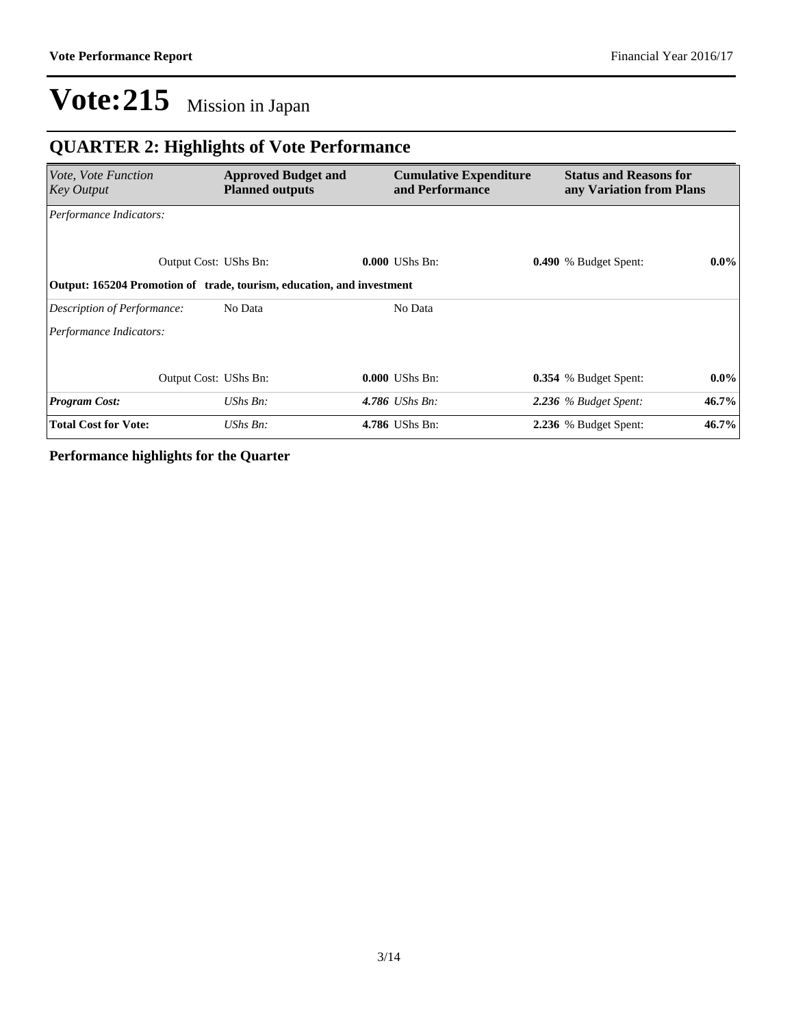## **QUARTER 2: Highlights of Vote Performance**

| Vote, Vote Function<br>Key Output                                     | <b>Approved Budget and</b><br><b>Planned outputs</b> | <b>Cumulative Expenditure</b><br>and Performance | <b>Status and Reasons for</b><br>any Variation from Plans |         |
|-----------------------------------------------------------------------|------------------------------------------------------|--------------------------------------------------|-----------------------------------------------------------|---------|
| Performance Indicators:                                               |                                                      |                                                  |                                                           |         |
| Output Cost: UShs Bn:                                                 |                                                      | <b>0.000 UShs Bn:</b>                            | <b>0.490</b> % Budget Spent:                              | $0.0\%$ |
| Output: 165204 Promotion of trade, tourism, education, and investment |                                                      |                                                  |                                                           |         |
| Description of Performance:                                           | No Data                                              | No Data                                          |                                                           |         |
| Performance Indicators:                                               |                                                      |                                                  |                                                           |         |
|                                                                       |                                                      |                                                  |                                                           |         |
| Output Cost: UShs Bn:                                                 |                                                      | <b>0.000 UShs Bn:</b>                            | 0.354 % Budget Spent:                                     | $0.0\%$ |
| <b>Program Cost:</b>                                                  | UShs Bn:                                             | 4.786 <i>UShs Bn</i> :                           | 2.236 % Budget Spent:                                     | 46.7%   |
| <b>Total Cost for Vote:</b>                                           | UShs Bn:                                             | 4.786 UShs Bn:                                   | 2.236 % Budget Spent:                                     | 46.7%   |

**Performance highlights for the Quarter**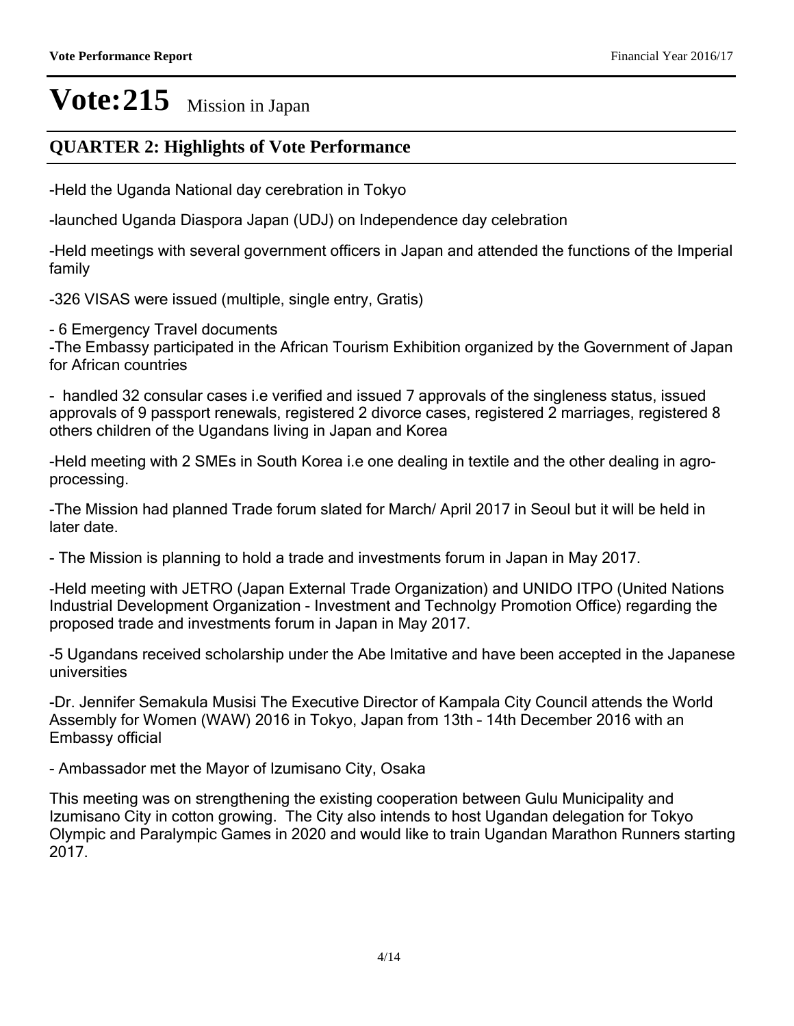### **QUARTER 2: Highlights of Vote Performance**

-Held the Uganda National day cerebration in Tokyo

-launched Uganda Diaspora Japan (UDJ) on Independence day celebration

-Held meetings with several government officers in Japan and attended the functions of the Imperial family

-326 VISAS were issued (multiple, single entry, Gratis)

- 6 Emergency Travel documents

-The Embassy participated in the African Tourism Exhibition organized by the Government of Japan for African countries

- handled 32 consular cases i.e verified and issued 7 approvals of the singleness status, issued approvals of 9 passport renewals, registered 2 divorce cases, registered 2 marriages, registered 8 others children of the Ugandans living in Japan and Korea

-Held meeting with 2 SMEs in South Korea i.e one dealing in textile and the other dealing in agroprocessing.

-The Mission had planned Trade forum slated for March/ April 2017 in Seoul but it will be held in later date.

- The Mission is planning to hold a trade and investments forum in Japan in May 2017.

-Held meeting with JETRO (Japan External Trade Organization) and UNIDO ITPO (United Nations Industrial Development Organization - Investment and Technolgy Promotion Office) regarding the proposed trade and investments forum in Japan in May 2017.

-5 Ugandans received scholarship under the Abe Imitative and have been accepted in the Japanese universities

-Dr. Jennifer Semakula Musisi The Executive Director of Kampala City Council attends the World Assembly for Women (WAW) 2016 in Tokyo, Japan from 13th - 14th December 2016 with an Embassy official

- Ambassador met the Mayor of Izumisano City, Osaka

This meeting was on strengthening the existing cooperation between Gulu Municipality and Izumisano City in cotton growing. The City also intends to host Ugandan delegation for Tokyo Olympic and Paralympic Games in 2020 and would like to train Ugandan Marathon Runners starting  $2017$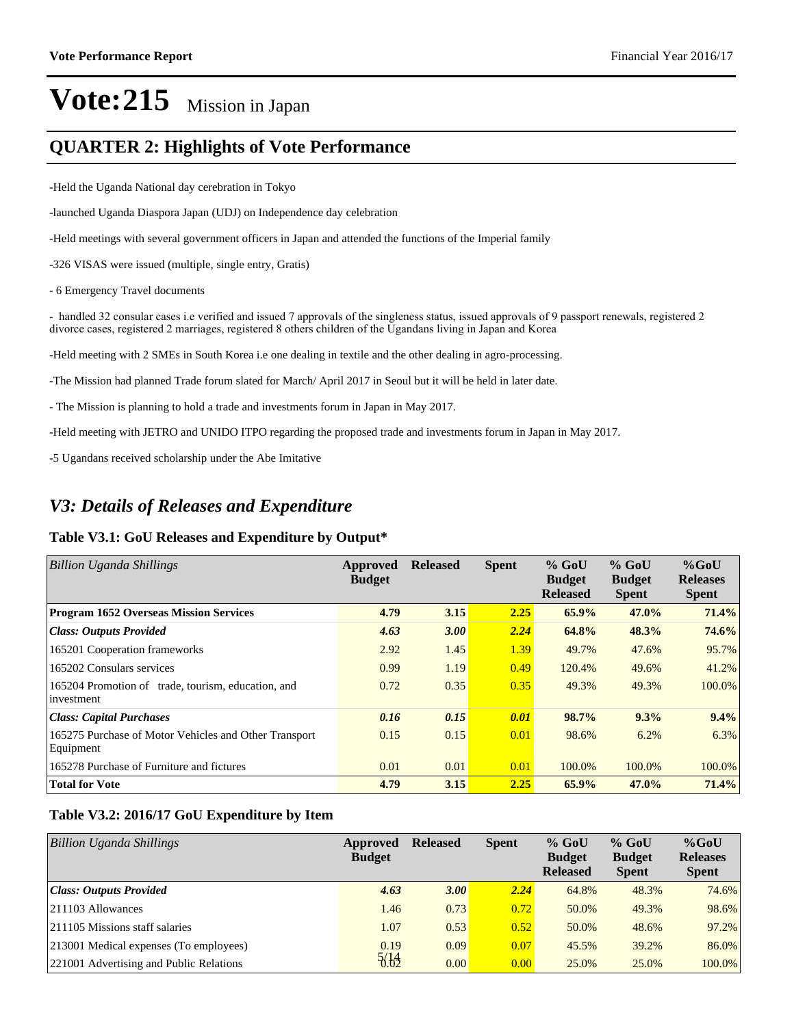### **QUARTER 2: Highlights of Vote Performance**

-Held the Uganda National day cerebration in Tokyo

-launched Uganda Diaspora Japan (UDJ) on Independence day celebration

-Held meetings with several government officers in Japan and attended the functions of the Imperial family

-326 VISAS were issued (multiple, single entry, Gratis)

- 6 Emergency Travel documents

- handled 32 consular cases i.e verified and issued 7 approvals of the singleness status, issued approvals of 9 passport renewals, registered 2 divorce cases, registered 2 marriages, registered 8 others children of the Ugandans living in Japan and Korea

-Held meeting with 2 SMEs in South Korea i.e one dealing in textile and the other dealing in agro-processing.

-The Mission had planned Trade forum slated for March/ April 2017 in Seoul but it will be held in later date.

- The Mission is planning to hold a trade and investments forum in Japan in May 2017.

-Held meeting with JETRO and UNIDO ITPO regarding the proposed trade and investments forum in Japan in May 2017.

-5 Ugandans received scholarship under the Abe Imitative

### *V3: Details of Releases and Expenditure*

#### **Table V3.1: GoU Releases and Expenditure by Output\***

| <b>Billion Uganda Shillings</b>                                    | Approved<br><b>Budget</b> | <b>Released</b> | <b>Spent</b> | $%$ GoU<br><b>Budget</b><br><b>Released</b> | $%$ GoU<br><b>Budget</b><br><b>Spent</b> | $%$ GoU<br><b>Releases</b><br><b>Spent</b> |
|--------------------------------------------------------------------|---------------------------|-----------------|--------------|---------------------------------------------|------------------------------------------|--------------------------------------------|
| <b>Program 1652 Overseas Mission Services</b>                      | 4.79                      | 3.15            | 2.25         | $65.9\%$                                    | 47.0%                                    | 71.4%                                      |
| <b>Class: Outputs Provided</b>                                     | 4.63                      | 3.00            | 2.24         | 64.8%                                       | 48.3%                                    | 74.6%                                      |
| 165201 Cooperation frameworks                                      | 2.92                      | 1.45            | 1.39         | 49.7%                                       | 47.6%                                    | 95.7%                                      |
| 165202 Consulars services                                          | 0.99                      | 1.19            | 0.49         | 120.4%                                      | 49.6%                                    | 41.2%                                      |
| 165204 Promotion of trade, tourism, education, and<br>investment   | 0.72                      | 0.35            | 0.35         | 49.3%                                       | 49.3%                                    | 100.0%                                     |
| <b>Class: Capital Purchases</b>                                    | 0.16                      | 0.15            | 0.01         | 98.7%                                       | 9.3%                                     | 9.4%                                       |
| 165275 Purchase of Motor Vehicles and Other Transport<br>Equipment | 0.15                      | 0.15            | 0.01         | 98.6%                                       | 6.2%                                     | 6.3%                                       |
| 165278 Purchase of Furniture and fictures                          | 0.01                      | 0.01            | 0.01         | 100.0%                                      | 100.0%                                   | 100.0%                                     |
| <b>Total for Vote</b>                                              | 4.79                      | 3.15            | 2.25         | 65.9%                                       | 47.0%                                    | 71.4%                                      |

#### **Table V3.2: 2016/17 GoU Expenditure by Item**

| <b>Billion Uganda Shillings</b>         | Approved<br><b>Budget</b> | <b>Released</b> | <b>Spent</b> | $%$ GoU<br><b>Budget</b><br><b>Released</b> | $%$ GoU<br><b>Budget</b><br><b>Spent</b> | $%$ GoU<br><b>Releases</b><br><b>Spent</b> |
|-----------------------------------------|---------------------------|-----------------|--------------|---------------------------------------------|------------------------------------------|--------------------------------------------|
| Class: Outputs Provided                 | 4.63                      | 3.00            | 2.24         | 64.8%                                       | 48.3%                                    | 74.6%                                      |
| $ 211103$ Allowances                    | 1.46                      | 0.73            | 0.72         | 50.0%                                       | 49.3%                                    | 98.6%                                      |
| 211105 Missions staff salaries          | 1.07                      | 0.53            | 0.52         | 50.0%                                       | 48.6%                                    | 97.2%                                      |
| [213001 Medical expenses (To employees) | 0.19                      | 0.09            | 0.07         | 45.5%                                       | 39.2%                                    | 86.0%                                      |
| 221001 Advertising and Public Relations | 5/14                      | 0.00            | 0.00         | 25.0%                                       | 25.0%                                    | 100.0%                                     |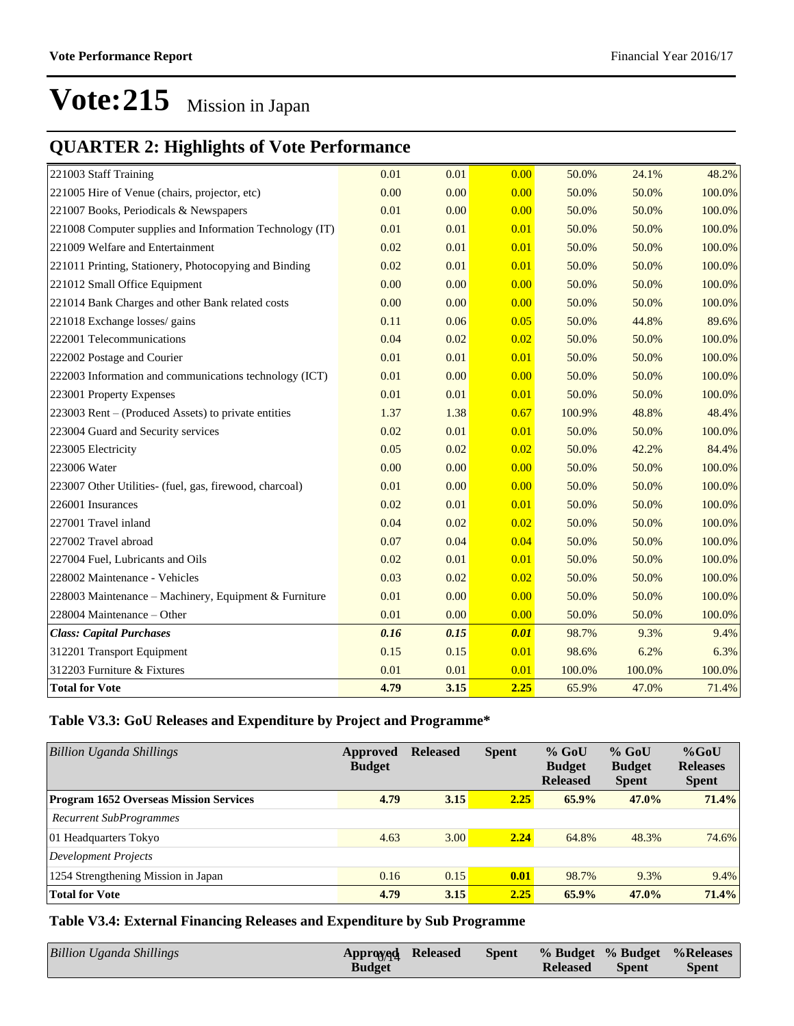### **QUARTER 2: Highlights of Vote Performance**

| 221003 Staff Training                                    | 0.01 | 0.01 | 0.00 | 50.0%  | 24.1%  | 48.2%  |
|----------------------------------------------------------|------|------|------|--------|--------|--------|
| 221005 Hire of Venue (chairs, projector, etc)            | 0.00 | 0.00 | 0.00 | 50.0%  | 50.0%  | 100.0% |
| 221007 Books, Periodicals & Newspapers                   | 0.01 | 0.00 | 0.00 | 50.0%  | 50.0%  | 100.0% |
| 221008 Computer supplies and Information Technology (IT) | 0.01 | 0.01 | 0.01 | 50.0%  | 50.0%  | 100.0% |
| 221009 Welfare and Entertainment                         | 0.02 | 0.01 | 0.01 | 50.0%  | 50.0%  | 100.0% |
| 221011 Printing, Stationery, Photocopying and Binding    | 0.02 | 0.01 | 0.01 | 50.0%  | 50.0%  | 100.0% |
| 221012 Small Office Equipment                            | 0.00 | 0.00 | 0.00 | 50.0%  | 50.0%  | 100.0% |
| 221014 Bank Charges and other Bank related costs         | 0.00 | 0.00 | 0.00 | 50.0%  | 50.0%  | 100.0% |
| 221018 Exchange losses/ gains                            | 0.11 | 0.06 | 0.05 | 50.0%  | 44.8%  | 89.6%  |
| 222001 Telecommunications                                | 0.04 | 0.02 | 0.02 | 50.0%  | 50.0%  | 100.0% |
| 222002 Postage and Courier                               | 0.01 | 0.01 | 0.01 | 50.0%  | 50.0%  | 100.0% |
| 222003 Information and communications technology (ICT)   | 0.01 | 0.00 | 0.00 | 50.0%  | 50.0%  | 100.0% |
| 223001 Property Expenses                                 | 0.01 | 0.01 | 0.01 | 50.0%  | 50.0%  | 100.0% |
| 223003 Rent – (Produced Assets) to private entities      | 1.37 | 1.38 | 0.67 | 100.9% | 48.8%  | 48.4%  |
| 223004 Guard and Security services                       | 0.02 | 0.01 | 0.01 | 50.0%  | 50.0%  | 100.0% |
| 223005 Electricity                                       | 0.05 | 0.02 | 0.02 | 50.0%  | 42.2%  | 84.4%  |
| 223006 Water                                             | 0.00 | 0.00 | 0.00 | 50.0%  | 50.0%  | 100.0% |
| 223007 Other Utilities- (fuel, gas, firewood, charcoal)  | 0.01 | 0.00 | 0.00 | 50.0%  | 50.0%  | 100.0% |
| 226001 Insurances                                        | 0.02 | 0.01 | 0.01 | 50.0%  | 50.0%  | 100.0% |
| 227001 Travel inland                                     | 0.04 | 0.02 | 0.02 | 50.0%  | 50.0%  | 100.0% |
| 227002 Travel abroad                                     | 0.07 | 0.04 | 0.04 | 50.0%  | 50.0%  | 100.0% |
| 227004 Fuel, Lubricants and Oils                         | 0.02 | 0.01 | 0.01 | 50.0%  | 50.0%  | 100.0% |
| 228002 Maintenance - Vehicles                            | 0.03 | 0.02 | 0.02 | 50.0%  | 50.0%  | 100.0% |
| 228003 Maintenance - Machinery, Equipment & Furniture    | 0.01 | 0.00 | 0.00 | 50.0%  | 50.0%  | 100.0% |
| 228004 Maintenance – Other                               | 0.01 | 0.00 | 0.00 | 50.0%  | 50.0%  | 100.0% |
| <b>Class: Capital Purchases</b>                          | 0.16 | 0.15 | 0.01 | 98.7%  | 9.3%   | 9.4%   |
| 312201 Transport Equipment                               | 0.15 | 0.15 | 0.01 | 98.6%  | 6.2%   | 6.3%   |
| 312203 Furniture & Fixtures                              | 0.01 | 0.01 | 0.01 | 100.0% | 100.0% | 100.0% |
| <b>Total for Vote</b>                                    | 4.79 | 3.15 | 2.25 | 65.9%  | 47.0%  | 71.4%  |

#### **Table V3.3: GoU Releases and Expenditure by Project and Programme\***

| Billion Uganda Shillings                      | Approved<br><b>Budget</b> | <b>Released</b> | <b>Spent</b> | $%$ GoU<br><b>Budget</b><br><b>Released</b> | $%$ GoU<br><b>Budget</b><br><b>Spent</b> | $%$ GoU<br><b>Releases</b><br><b>Spent</b> |
|-----------------------------------------------|---------------------------|-----------------|--------------|---------------------------------------------|------------------------------------------|--------------------------------------------|
| <b>Program 1652 Overseas Mission Services</b> | 4.79                      | 3.15            | 2.25         | 65.9%                                       | 47.0%                                    | 71.4%                                      |
| <b>Recurrent SubProgrammes</b>                |                           |                 |              |                                             |                                          |                                            |
| 01 Headquarters Tokyo                         | 4.63                      | 3.00            | 2.24         | 64.8%                                       | 48.3%                                    | 74.6%                                      |
| Development Projects                          |                           |                 |              |                                             |                                          |                                            |
| 1254 Strengthening Mission in Japan           | 0.16                      | 0.15            | 0.01         | 98.7%                                       | 9.3%                                     | 9.4%                                       |
| <b>Total for Vote</b>                         | 4.79                      | 3.15            | 2.25         | 65.9%                                       | $47.0\%$                                 | 71.4%                                      |

**Table V3.4: External Financing Releases and Expenditure by Sub Programme**

| Billion Uganda Shillings | Approxed Released | Spent |                 |              | % Budget % Budget % Releases |
|--------------------------|-------------------|-------|-----------------|--------------|------------------------------|
|                          | <b>Budget</b>     |       | <b>Released</b> | <b>Spent</b> | <b>Spent</b>                 |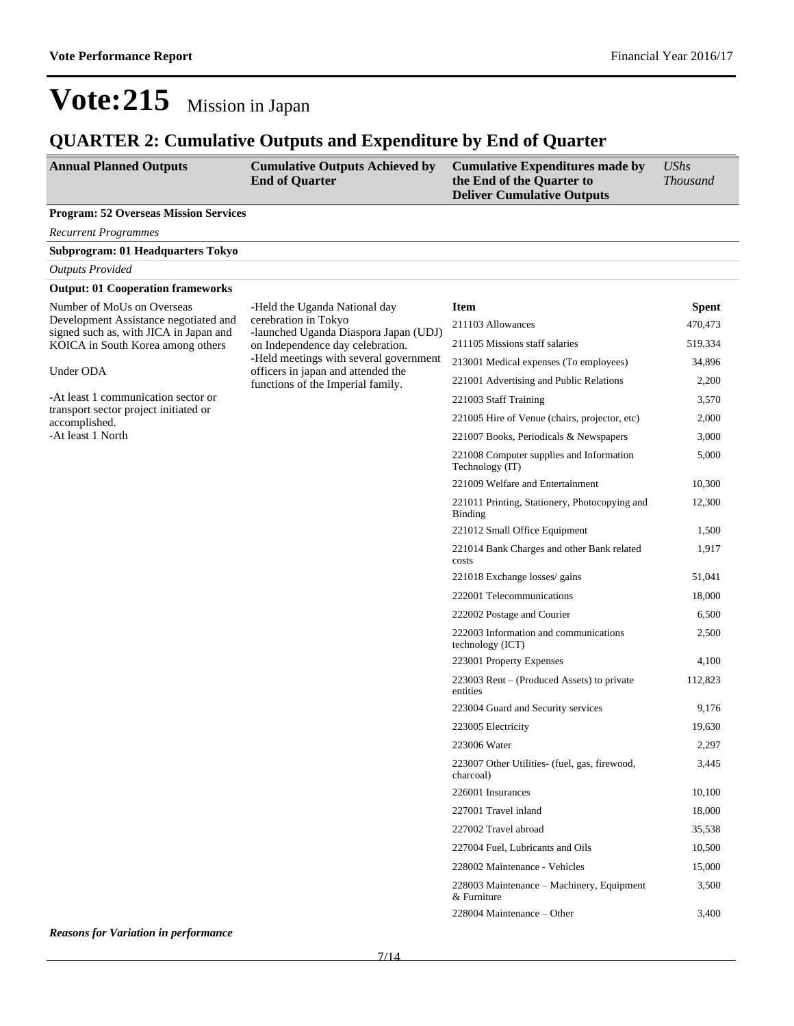### **QUARTER 2: Cumulative Outputs and Expenditure by End of Quarter**

| <b>Annual Planned Outputs</b>                                                   | <b>Cumulative Outputs Achieved by</b><br><b>End of Quarter</b>               | <b>Cumulative Expenditures made by</b><br>the End of the Quarter to<br><b>Deliver Cumulative Outputs</b> | <b>UShs</b><br><b>Thousand</b> |
|---------------------------------------------------------------------------------|------------------------------------------------------------------------------|----------------------------------------------------------------------------------------------------------|--------------------------------|
| <b>Program: 52 Overseas Mission Services</b>                                    |                                                                              |                                                                                                          |                                |
| <b>Recurrent Programmes</b>                                                     |                                                                              |                                                                                                          |                                |
| Subprogram: 01 Headquarters Tokyo                                               |                                                                              |                                                                                                          |                                |
| <b>Outputs Provided</b>                                                         |                                                                              |                                                                                                          |                                |
| <b>Output: 01 Cooperation frameworks</b>                                        |                                                                              |                                                                                                          |                                |
| Number of MoUs on Overseas                                                      | -Held the Uganda National day                                                | <b>Item</b>                                                                                              | <b>Spent</b>                   |
| Development Assistance negotiated and<br>signed such as, with JICA in Japan and | cerebration in Tokyo<br>-launched Uganda Diaspora Japan (UDJ)                | 211103 Allowances                                                                                        | 470,473                        |
| KOICA in South Korea among others                                               | on Independence day celebration.                                             | 211105 Missions staff salaries                                                                           | 519,334                        |
| Under ODA                                                                       | -Held meetings with several government<br>officers in japan and attended the | 213001 Medical expenses (To employees)                                                                   | 34,896                         |
|                                                                                 | functions of the Imperial family.                                            | 221001 Advertising and Public Relations                                                                  | 2,200                          |
| -At least 1 communication sector or                                             |                                                                              | 221003 Staff Training                                                                                    | 3,570                          |
| transport sector project initiated or<br>accomplished.                          |                                                                              | 221005 Hire of Venue (chairs, projector, etc)                                                            | 2,000                          |
| -At least 1 North                                                               |                                                                              | 221007 Books, Periodicals & Newspapers                                                                   | 3,000                          |
|                                                                                 |                                                                              | 221008 Computer supplies and Information<br>Technology (IT)                                              | 5,000                          |
|                                                                                 |                                                                              | 221009 Welfare and Entertainment                                                                         | 10,300                         |
|                                                                                 |                                                                              | 221011 Printing, Stationery, Photocopying and<br><b>Binding</b>                                          | 12,300                         |
|                                                                                 |                                                                              | 221012 Small Office Equipment                                                                            | 1,500                          |
|                                                                                 |                                                                              | 221014 Bank Charges and other Bank related<br>costs                                                      | 1,917                          |
|                                                                                 |                                                                              | 221018 Exchange losses/ gains                                                                            | 51,041                         |
|                                                                                 |                                                                              | 222001 Telecommunications                                                                                | 18,000                         |
|                                                                                 |                                                                              | 222002 Postage and Courier                                                                               | 6,500                          |
|                                                                                 |                                                                              | 222003 Information and communications<br>technology (ICT)                                                | 2,500                          |
|                                                                                 |                                                                              | 223001 Property Expenses                                                                                 | 4,100                          |
|                                                                                 |                                                                              | $223003$ Rent – (Produced Assets) to private<br>entities                                                 | 112,823                        |
|                                                                                 |                                                                              | 223004 Guard and Security services                                                                       | 9,176                          |
|                                                                                 |                                                                              | 223005 Electricity                                                                                       | 19,630                         |
|                                                                                 |                                                                              | 223006 Water                                                                                             | 2,297                          |
|                                                                                 |                                                                              | 223007 Other Utilities- (fuel, gas, firewood,<br>charcoal)                                               | 3,445                          |
|                                                                                 |                                                                              | 226001 Insurances                                                                                        | 10,100                         |
|                                                                                 |                                                                              | 227001 Travel inland                                                                                     | 18,000                         |
|                                                                                 |                                                                              | 227002 Travel abroad                                                                                     | 35,538                         |
|                                                                                 |                                                                              | 227004 Fuel, Lubricants and Oils                                                                         | 10,500                         |
|                                                                                 |                                                                              | 228002 Maintenance - Vehicles                                                                            | 15,000                         |
|                                                                                 |                                                                              | 228003 Maintenance – Machinery, Equipment<br>& Furniture                                                 | 3,500                          |
|                                                                                 |                                                                              | 228004 Maintenance – Other                                                                               | 3,400                          |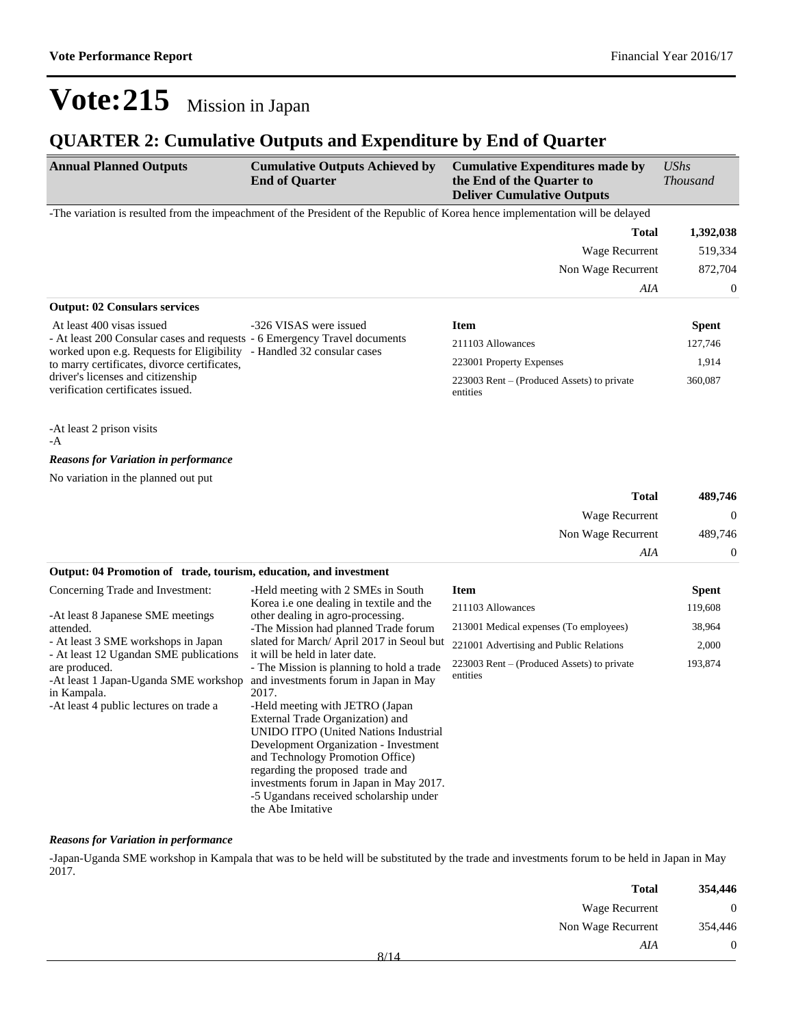### **QUARTER 2: Cumulative Outputs and Expenditure by End of Quarter**

| <b>Annual Planned Outputs</b>                                                                                                                      | <b>Cumulative Outputs Achieved by</b><br><b>End of Quarter</b>                                                                                                                                                                                                                                                                                  | <b>Cumulative Expenditures made by</b><br>the End of the Quarter to<br><b>Deliver Cumulative Outputs</b>                       | <b>UShs</b><br><b>Thousand</b> |
|----------------------------------------------------------------------------------------------------------------------------------------------------|-------------------------------------------------------------------------------------------------------------------------------------------------------------------------------------------------------------------------------------------------------------------------------------------------------------------------------------------------|--------------------------------------------------------------------------------------------------------------------------------|--------------------------------|
|                                                                                                                                                    |                                                                                                                                                                                                                                                                                                                                                 | -The variation is resulted from the impeachment of the President of the Republic of Korea hence implementation will be delayed |                                |
|                                                                                                                                                    |                                                                                                                                                                                                                                                                                                                                                 | <b>Total</b>                                                                                                                   | 1,392,038                      |
|                                                                                                                                                    |                                                                                                                                                                                                                                                                                                                                                 | Wage Recurrent                                                                                                                 | 519,334                        |
|                                                                                                                                                    |                                                                                                                                                                                                                                                                                                                                                 | Non Wage Recurrent                                                                                                             | 872,704                        |
|                                                                                                                                                    |                                                                                                                                                                                                                                                                                                                                                 | AIA                                                                                                                            | $\boldsymbol{0}$               |
| <b>Output: 02 Consulars services</b>                                                                                                               |                                                                                                                                                                                                                                                                                                                                                 |                                                                                                                                |                                |
| At least 400 visas issued                                                                                                                          | -326 VISAS were issued                                                                                                                                                                                                                                                                                                                          | <b>Item</b>                                                                                                                    | <b>Spent</b>                   |
| - At least 200 Consular cases and requests - 6 Emergency Travel documents<br>worked upon e.g. Requests for Eligibility - Handled 32 consular cases |                                                                                                                                                                                                                                                                                                                                                 | 211103 Allowances                                                                                                              | 127,746                        |
| to marry certificates, divorce certificates,                                                                                                       |                                                                                                                                                                                                                                                                                                                                                 | 223001 Property Expenses                                                                                                       | 1,914                          |
| driver's licenses and citizenship<br>verification certificates issued.                                                                             |                                                                                                                                                                                                                                                                                                                                                 | 223003 Rent – (Produced Assets) to private<br>entities                                                                         | 360,087                        |
| -At least 2 prison visits<br>-A                                                                                                                    |                                                                                                                                                                                                                                                                                                                                                 |                                                                                                                                |                                |
| <b>Reasons for Variation in performance</b>                                                                                                        |                                                                                                                                                                                                                                                                                                                                                 |                                                                                                                                |                                |
| No variation in the planned out put                                                                                                                |                                                                                                                                                                                                                                                                                                                                                 |                                                                                                                                |                                |
|                                                                                                                                                    |                                                                                                                                                                                                                                                                                                                                                 | <b>Total</b>                                                                                                                   | 489,746                        |
|                                                                                                                                                    |                                                                                                                                                                                                                                                                                                                                                 | Wage Recurrent                                                                                                                 | $\boldsymbol{0}$               |
|                                                                                                                                                    |                                                                                                                                                                                                                                                                                                                                                 | Non Wage Recurrent                                                                                                             | 489,746                        |
|                                                                                                                                                    |                                                                                                                                                                                                                                                                                                                                                 | AIA                                                                                                                            | $\boldsymbol{0}$               |
| Output: 04 Promotion of trade, tourism, education, and investment                                                                                  |                                                                                                                                                                                                                                                                                                                                                 |                                                                                                                                |                                |
| Concerning Trade and Investment:                                                                                                                   | -Held meeting with 2 SMEs in South                                                                                                                                                                                                                                                                                                              | <b>Item</b>                                                                                                                    | <b>Spent</b>                   |
|                                                                                                                                                    | Korea <i>i.e</i> one dealing in textile and the                                                                                                                                                                                                                                                                                                 | 211103 Allowances                                                                                                              | 119,608                        |
| -At least 8 Japanese SME meetings<br>attended.                                                                                                     | other dealing in agro-processing.<br>-The Mission had planned Trade forum                                                                                                                                                                                                                                                                       | 213001 Medical expenses (To employees)                                                                                         | 38,964                         |
| - At least 3 SME workshops in Japan                                                                                                                | slated for March/ April 2017 in Seoul but                                                                                                                                                                                                                                                                                                       | 221001 Advertising and Public Relations                                                                                        | 2,000                          |
| - At least 12 Ugandan SME publications<br>are produced.<br>-At least 1 Japan-Uganda SME workshop<br>in Kampala.                                    | it will be held in later date.<br>- The Mission is planning to hold a trade<br>and investments forum in Japan in May<br>2017.                                                                                                                                                                                                                   | 223003 Rent – (Produced Assets) to private<br>entities                                                                         | 193,874                        |
| -At least 4 public lectures on trade a                                                                                                             | -Held meeting with JETRO (Japan)<br>External Trade Organization) and<br><b>UNIDO ITPO</b> (United Nations Industrial<br>Development Organization - Investment<br>and Technology Promotion Office)<br>regarding the proposed trade and<br>investments forum in Japan in May 2017.<br>-5 Ugandans received scholarship under<br>the Abe Imitative |                                                                                                                                |                                |

#### *Reasons for Variation in performance*

-Japan-Uganda SME workshop in Kampala that was to be held will be substituted by the trade and investments forum to be held in Japan in May 2017.

| 354,446  | <b>Total</b>       |      |
|----------|--------------------|------|
| $\theta$ | Wage Recurrent     |      |
| 354,446  | Non Wage Recurrent |      |
| $\theta$ | AIA                | 8/14 |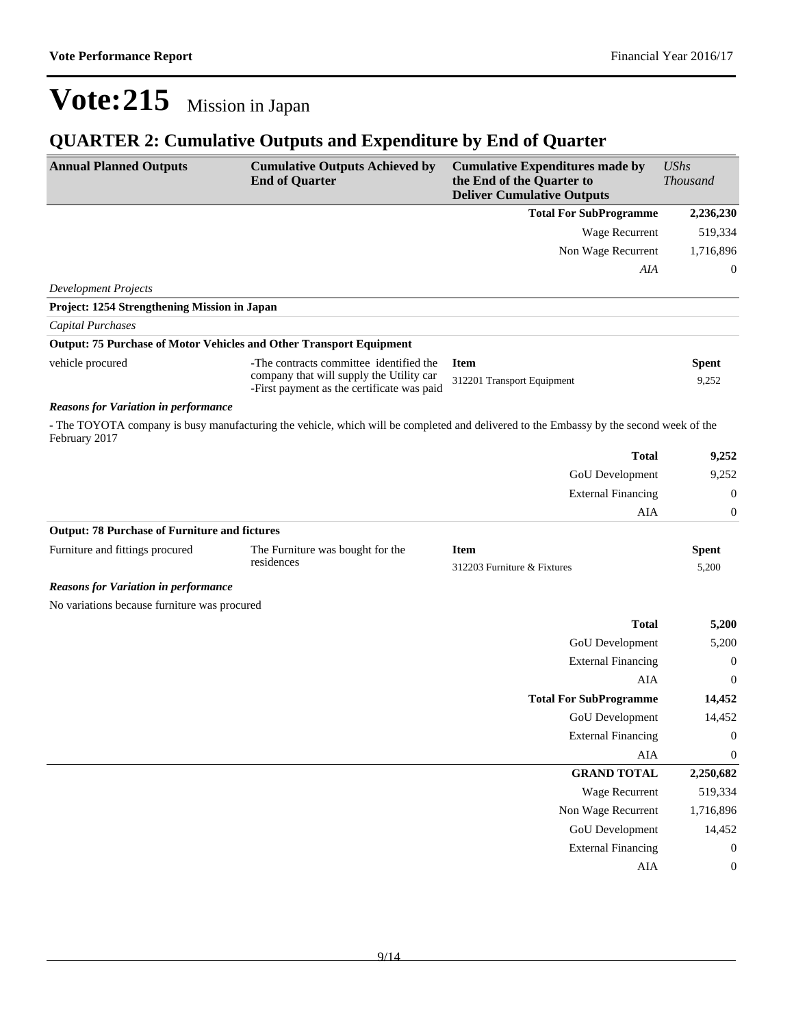## **QUARTER 2: Cumulative Outputs and Expenditure by End of Quarter**

| <b>Annual Planned Outputs</b>                                              | <b>Cumulative Outputs Achieved by</b><br><b>End of Quarter</b>                         | <b>Cumulative Expenditures made by</b><br>the End of the Quarter to<br><b>Deliver Cumulative Outputs</b>                               | <b>UShs</b><br><b>Thousand</b> |
|----------------------------------------------------------------------------|----------------------------------------------------------------------------------------|----------------------------------------------------------------------------------------------------------------------------------------|--------------------------------|
|                                                                            |                                                                                        | <b>Total For SubProgramme</b>                                                                                                          | 2,236,230                      |
|                                                                            |                                                                                        | <b>Wage Recurrent</b>                                                                                                                  | 519,334                        |
|                                                                            |                                                                                        | Non Wage Recurrent                                                                                                                     | 1,716,896                      |
|                                                                            |                                                                                        | AIA                                                                                                                                    | $\boldsymbol{0}$               |
| <b>Development Projects</b>                                                |                                                                                        |                                                                                                                                        |                                |
| Project: 1254 Strengthening Mission in Japan                               |                                                                                        |                                                                                                                                        |                                |
| <b>Capital Purchases</b>                                                   |                                                                                        |                                                                                                                                        |                                |
| <b>Output: 75 Purchase of Motor Vehicles and Other Transport Equipment</b> |                                                                                        |                                                                                                                                        |                                |
| vehicle procured                                                           | -The contracts committee identified the                                                | <b>Item</b>                                                                                                                            | <b>Spent</b>                   |
|                                                                            | company that will supply the Utility car<br>-First payment as the certificate was paid | 312201 Transport Equipment                                                                                                             | 9,252                          |
| <b>Reasons for Variation in performance</b>                                |                                                                                        |                                                                                                                                        |                                |
| February 2017                                                              |                                                                                        | - The TOYOTA company is busy manufacturing the vehicle, which will be completed and delivered to the Embassy by the second week of the |                                |
|                                                                            |                                                                                        | <b>Total</b>                                                                                                                           | 9,252                          |
|                                                                            |                                                                                        | GoU Development                                                                                                                        | 9,252                          |
|                                                                            |                                                                                        | <b>External Financing</b>                                                                                                              | $\theta$                       |
|                                                                            |                                                                                        | AIA                                                                                                                                    | $\boldsymbol{0}$               |
| <b>Output: 78 Purchase of Furniture and fictures</b>                       |                                                                                        |                                                                                                                                        |                                |
| Furniture and fittings procured                                            | The Furniture was bought for the                                                       | <b>Item</b>                                                                                                                            | <b>Spent</b>                   |
|                                                                            | residences                                                                             | 312203 Furniture & Fixtures                                                                                                            | 5,200                          |
| <b>Reasons for Variation in performance</b>                                |                                                                                        |                                                                                                                                        |                                |
| No variations because furniture was procured                               |                                                                                        |                                                                                                                                        |                                |
|                                                                            |                                                                                        | <b>Total</b>                                                                                                                           | 5,200                          |
|                                                                            |                                                                                        | GoU Development                                                                                                                        | 5,200                          |
|                                                                            |                                                                                        | <b>External Financing</b>                                                                                                              | $\boldsymbol{0}$               |
|                                                                            |                                                                                        | AIA                                                                                                                                    | $\theta$                       |
|                                                                            |                                                                                        | <b>Total For SubProgramme</b>                                                                                                          | 14,452                         |
|                                                                            |                                                                                        | <b>GoU</b> Development                                                                                                                 | 14,452                         |
|                                                                            |                                                                                        | <b>External Financing</b>                                                                                                              | $\boldsymbol{0}$               |
|                                                                            |                                                                                        | ${\rm AIA}$                                                                                                                            | $\boldsymbol{0}$               |
|                                                                            |                                                                                        | <b>GRAND TOTAL</b>                                                                                                                     | 2,250,682                      |
|                                                                            |                                                                                        | Wage Recurrent                                                                                                                         | 519,334                        |
|                                                                            |                                                                                        | Non Wage Recurrent                                                                                                                     | 1,716,896                      |
|                                                                            |                                                                                        | <b>GoU</b> Development                                                                                                                 | 14,452                         |
|                                                                            |                                                                                        | <b>External Financing</b>                                                                                                              | 0                              |
|                                                                            |                                                                                        | AIA                                                                                                                                    | 0                              |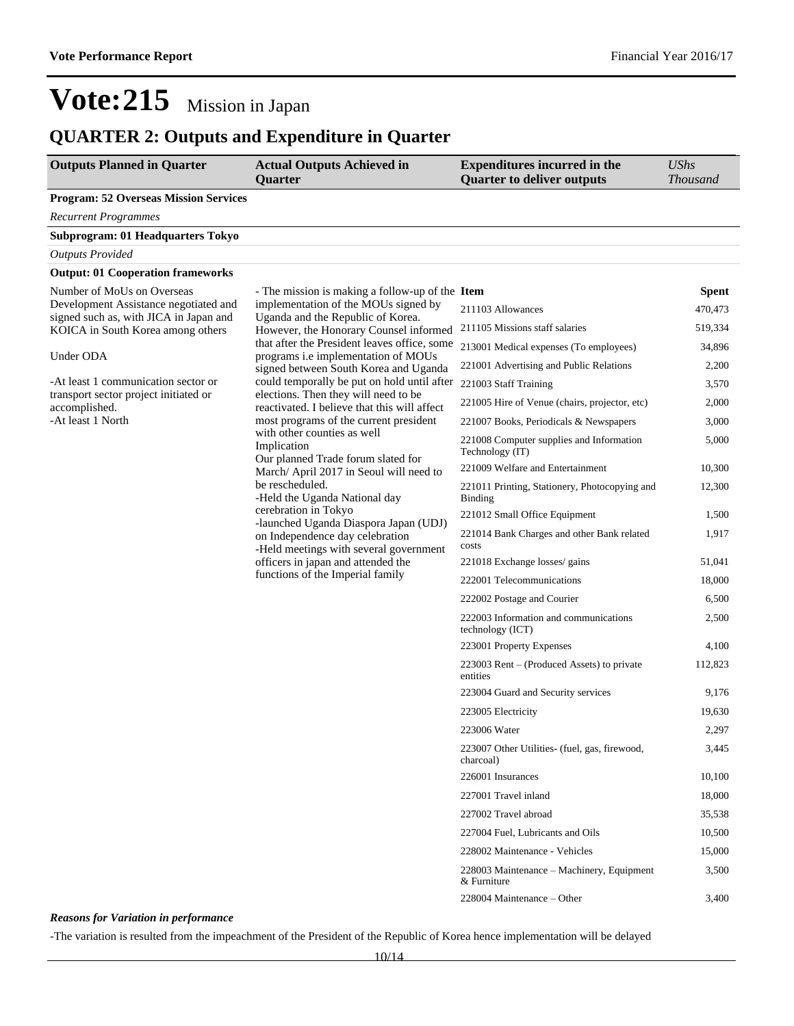## **QUARTER 2: Outputs and Expenditure in Quarter**

| <b>Outputs Planned in Quarter</b>                                           | <b>Actual Outputs Achieved in</b><br><b>Quarter</b>                                     | <b>Expenditures incurred in the</b><br><b>Quarter to deliver outputs</b> | <b>UShs</b><br><b>Thousand</b> |
|-----------------------------------------------------------------------------|-----------------------------------------------------------------------------------------|--------------------------------------------------------------------------|--------------------------------|
| <b>Program: 52 Overseas Mission Services</b>                                |                                                                                         |                                                                          |                                |
| <b>Recurrent Programmes</b>                                                 |                                                                                         |                                                                          |                                |
| Subprogram: 01 Headquarters Tokyo                                           |                                                                                         |                                                                          |                                |
| <b>Outputs Provided</b>                                                     |                                                                                         |                                                                          |                                |
| <b>Output: 01 Cooperation frameworks</b>                                    |                                                                                         |                                                                          |                                |
| Number of MoUs on Overseas<br>Development Assistance negotiated and         | - The mission is making a follow-up of the Item<br>implementation of the MOUs signed by | 211103 Allowances                                                        | <b>Spent</b><br>470,473        |
| signed such as, with JICA in Japan and<br>KOICA in South Korea among others | Uganda and the Republic of Korea.<br>However, the Honorary Counsel informed             | 211105 Missions staff salaries                                           | 519,334                        |
|                                                                             | that after the President leaves office, some                                            | 213001 Medical expenses (To employees)                                   | 34,896                         |
| Under ODA                                                                   | programs i.e implementation of MOUs<br>signed between South Korea and Uganda            | 221001 Advertising and Public Relations                                  | 2,200                          |
| -At least 1 communication sector or                                         | could temporally be put on hold until after                                             | 221003 Staff Training                                                    | 3,570                          |
| transport sector project initiated or<br>accomplished.                      | elections. Then they will need to be<br>reactivated. I believe that this will affect    | 221005 Hire of Venue (chairs, projector, etc)                            | 2,000                          |
| -At least 1 North                                                           | most programs of the current president                                                  | 221007 Books, Periodicals & Newspapers                                   | 3,000                          |
|                                                                             | with other counties as well<br>Implication                                              | 221008 Computer supplies and Information<br>Technology (IT)              | 5,000                          |
|                                                                             | Our planned Trade forum slated for<br>March/ April 2017 in Seoul will need to           | 221009 Welfare and Entertainment                                         | 10,300                         |
|                                                                             | be rescheduled.<br>-Held the Uganda National day                                        | 221011 Printing, Stationery, Photocopying and<br><b>Binding</b>          | 12,300                         |
|                                                                             | cerebration in Tokyo<br>-launched Uganda Diaspora Japan (UDJ)                           | 221012 Small Office Equipment                                            | 1,500                          |
|                                                                             | on Independence day celebration<br>-Held meetings with several government               | 221014 Bank Charges and other Bank related<br>costs                      | 1,917                          |
|                                                                             | officers in japan and attended the                                                      | 221018 Exchange losses/ gains                                            | 51,041                         |
|                                                                             | functions of the Imperial family                                                        | 222001 Telecommunications                                                | 18,000                         |
|                                                                             |                                                                                         | 222002 Postage and Courier                                               | 6,500                          |
|                                                                             |                                                                                         | 222003 Information and communications<br>technology (ICT)                | 2,500                          |
|                                                                             |                                                                                         | 223001 Property Expenses                                                 | 4,100                          |
|                                                                             |                                                                                         | 223003 Rent - (Produced Assets) to private<br>entities                   | 112,823                        |
|                                                                             |                                                                                         | 223004 Guard and Security services                                       | 9,176                          |
|                                                                             |                                                                                         | 223005 Electricity                                                       | 19,630                         |
|                                                                             |                                                                                         | 223006 Water                                                             | 2,297                          |
|                                                                             |                                                                                         | 223007 Other Utilities- (fuel, gas, firewood,<br>charcoal)               | 3,445                          |
|                                                                             |                                                                                         | 226001 Insurances                                                        | 10,100                         |
|                                                                             |                                                                                         | 227001 Travel inland                                                     | 18,000                         |
|                                                                             |                                                                                         | 227002 Travel abroad                                                     | 35,538                         |
|                                                                             |                                                                                         | 227004 Fuel, Lubricants and Oils                                         | 10,500                         |
|                                                                             |                                                                                         | 228002 Maintenance - Vehicles                                            | 15,000                         |
|                                                                             |                                                                                         | 228003 Maintenance – Machinery, Equipment<br>& Furniture                 | 3,500                          |
|                                                                             |                                                                                         | 228004 Maintenance - Other                                               | 3,400                          |

#### *Reasons for Variation in performance*

-The variation is resulted from the impeachment of the President of the Republic of Korea hence implementation will be delayed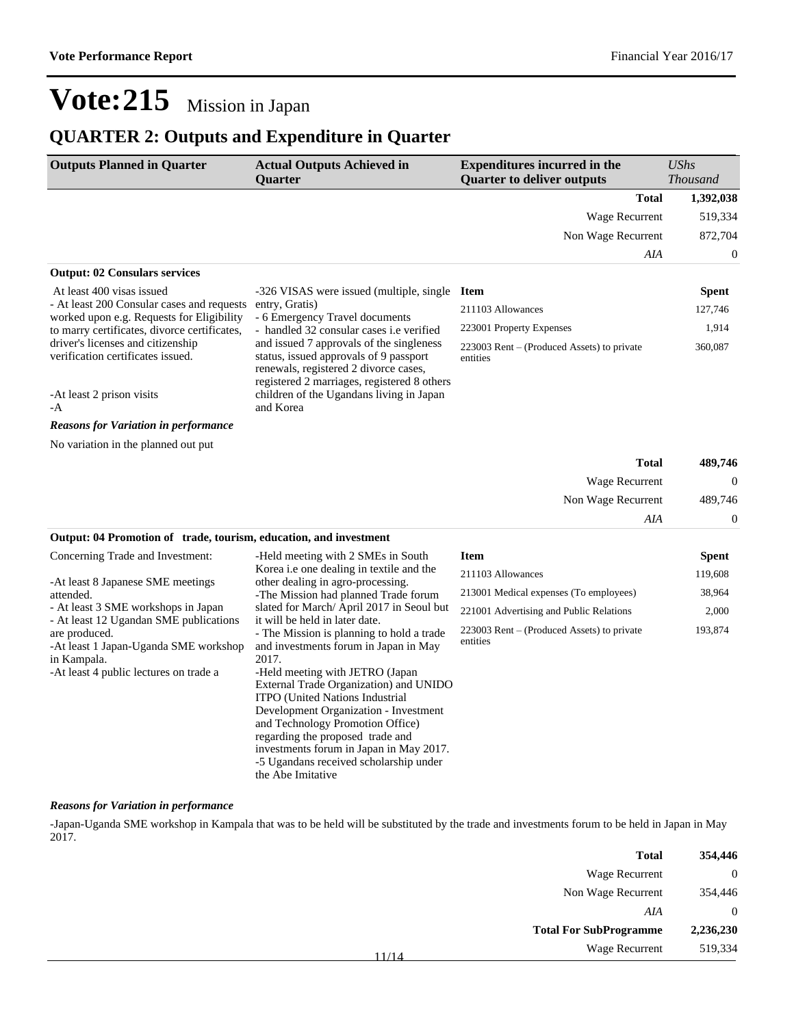### **QUARTER 2: Outputs and Expenditure in Quarter**

| <b>Outputs Planned in Quarter</b>                                                                               | <b>Actual Outputs Achieved in</b><br>Quarter                                                                                                                                                                                                                | <b>Expenditures incurred in the</b><br><b>Quarter to deliver outputs</b> | <b>UShs</b><br><b>Thousand</b> |
|-----------------------------------------------------------------------------------------------------------------|-------------------------------------------------------------------------------------------------------------------------------------------------------------------------------------------------------------------------------------------------------------|--------------------------------------------------------------------------|--------------------------------|
|                                                                                                                 |                                                                                                                                                                                                                                                             | <b>Total</b>                                                             | 1,392,038                      |
|                                                                                                                 |                                                                                                                                                                                                                                                             | Wage Recurrent                                                           | 519,334                        |
|                                                                                                                 |                                                                                                                                                                                                                                                             | Non Wage Recurrent                                                       | 872,704                        |
|                                                                                                                 |                                                                                                                                                                                                                                                             | AIA                                                                      | 0                              |
| <b>Output: 02 Consulars services</b>                                                                            |                                                                                                                                                                                                                                                             |                                                                          |                                |
| At least 400 visas issued                                                                                       | -326 VISAS were issued (multiple, single Item                                                                                                                                                                                                               |                                                                          | <b>Spent</b>                   |
| - At least 200 Consular cases and requests<br>worked upon e.g. Requests for Eligibility                         | entry, Gratis)<br>- 6 Emergency Travel documents                                                                                                                                                                                                            | 211103 Allowances                                                        | 127,746                        |
| to marry certificates, divorce certificates,                                                                    | - handled 32 consular cases i.e verified                                                                                                                                                                                                                    | 223001 Property Expenses                                                 | 1,914                          |
| driver's licenses and citizenship<br>verification certificates issued.                                          | and issued 7 approvals of the singleness<br>status, issued approvals of 9 passport<br>renewals, registered 2 divorce cases,<br>registered 2 marriages, registered 8 others                                                                                  | 223003 Rent – (Produced Assets) to private<br>entities                   | 360,087                        |
| -At least 2 prison visits<br>-A                                                                                 | children of the Ugandans living in Japan<br>and Korea                                                                                                                                                                                                       |                                                                          |                                |
| <b>Reasons for Variation in performance</b>                                                                     |                                                                                                                                                                                                                                                             |                                                                          |                                |
| No variation in the planned out put                                                                             |                                                                                                                                                                                                                                                             |                                                                          |                                |
|                                                                                                                 |                                                                                                                                                                                                                                                             | <b>Total</b>                                                             | 489,746                        |
|                                                                                                                 |                                                                                                                                                                                                                                                             | Wage Recurrent                                                           | $\boldsymbol{0}$               |
|                                                                                                                 |                                                                                                                                                                                                                                                             | Non Wage Recurrent                                                       | 489,746                        |
|                                                                                                                 |                                                                                                                                                                                                                                                             | AIA                                                                      | 0                              |
| Output: 04 Promotion of trade, tourism, education, and investment                                               |                                                                                                                                                                                                                                                             |                                                                          |                                |
| Concerning Trade and Investment:                                                                                | -Held meeting with 2 SMEs in South                                                                                                                                                                                                                          | <b>Item</b>                                                              | <b>Spent</b>                   |
| -At least 8 Japanese SME meetings                                                                               | Korea <i>i.e</i> one dealing in textile and the<br>other dealing in agro-processing.                                                                                                                                                                        | 211103 Allowances                                                        | 119,608                        |
| attended.                                                                                                       | -The Mission had planned Trade forum                                                                                                                                                                                                                        | 213001 Medical expenses (To employees)                                   | 38,964                         |
| - At least 3 SME workshops in Japan<br>- At least 12 Ugandan SME publications                                   | slated for March/April 2017 in Seoul but<br>it will be held in later date.                                                                                                                                                                                  | 221001 Advertising and Public Relations                                  | 2,000                          |
| are produced.<br>-At least 1 Japan-Uganda SME workshop<br>in Kampala.<br>-At least 4 public lectures on trade a | - The Mission is planning to hold a trade<br>and investments forum in Japan in May<br>2017.<br>-Held meeting with JETRO (Japan<br>External Trade Organization) and UNIDO<br><b>ITPO</b> (United Nations Industrial<br>Development Organization - Investment | 223003 Rent – (Produced Assets) to private<br>entities                   | 193,874                        |

#### *Reasons for Variation in performance*

-Japan-Uganda SME workshop in Kampala that was to be held will be substituted by the trade and investments forum to be held in Japan in May 2017.

and Technology Promotion Office) regarding the proposed trade and investments forum in Japan in May 2017. -5 Ugandans received scholarship under

the Abe Imitative

| 354,446   | <b>Total</b>                  |       |
|-----------|-------------------------------|-------|
| $\theta$  | Wage Recurrent                |       |
| 354,446   | Non Wage Recurrent            |       |
| $\theta$  | AIA                           |       |
| 2,236,230 | <b>Total For SubProgramme</b> |       |
| 519,334   | <b>Wage Recurrent</b>         | 11/14 |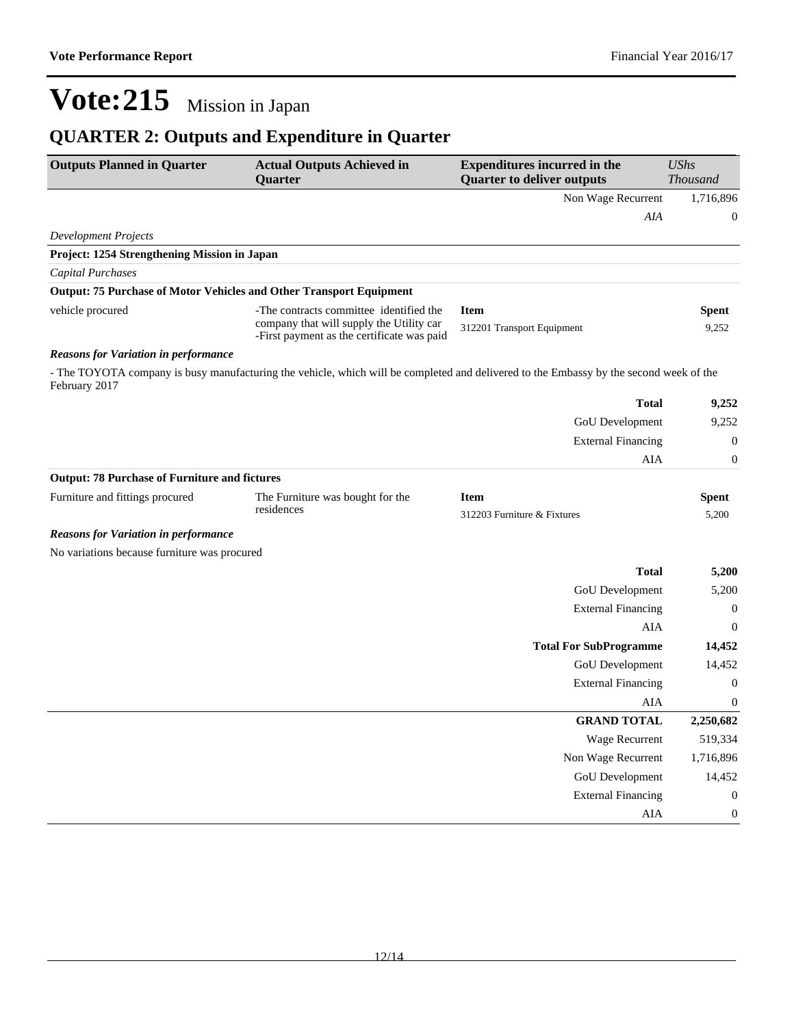## **QUARTER 2: Outputs and Expenditure in Quarter**

| <b>Outputs Planned in Quarter</b>                    | <b>Actual Outputs Achieved in</b><br><b>Ouarter</b>                                                                                    | <b>Expenditures incurred in the</b><br><b>Quarter to deliver outputs</b> | <b>UShs</b><br><b>Thousand</b> |
|------------------------------------------------------|----------------------------------------------------------------------------------------------------------------------------------------|--------------------------------------------------------------------------|--------------------------------|
|                                                      |                                                                                                                                        | Non Wage Recurrent                                                       | 1,716,896                      |
|                                                      |                                                                                                                                        | AIA                                                                      | $\boldsymbol{0}$               |
| <b>Development Projects</b>                          |                                                                                                                                        |                                                                          |                                |
| Project: 1254 Strengthening Mission in Japan         |                                                                                                                                        |                                                                          |                                |
| <b>Capital Purchases</b>                             |                                                                                                                                        |                                                                          |                                |
|                                                      | <b>Output: 75 Purchase of Motor Vehicles and Other Transport Equipment</b>                                                             |                                                                          |                                |
| vehicle procured                                     | -The contracts committee identified the<br>company that will supply the Utility car<br>-First payment as the certificate was paid      | <b>Item</b><br>312201 Transport Equipment                                | <b>Spent</b><br>9,252          |
| <b>Reasons for Variation in performance</b>          |                                                                                                                                        |                                                                          |                                |
| February 2017                                        | - The TOYOTA company is busy manufacturing the vehicle, which will be completed and delivered to the Embassy by the second week of the |                                                                          |                                |
|                                                      |                                                                                                                                        | <b>Total</b>                                                             | 9,252                          |
|                                                      |                                                                                                                                        | <b>GoU</b> Development                                                   | 9,252                          |
|                                                      |                                                                                                                                        | <b>External Financing</b>                                                | $\mathbf{0}$                   |
|                                                      |                                                                                                                                        | <b>AIA</b>                                                               | $\boldsymbol{0}$               |
| <b>Output: 78 Purchase of Furniture and fictures</b> |                                                                                                                                        |                                                                          |                                |
| Furniture and fittings procured                      | The Furniture was bought for the                                                                                                       | <b>Item</b>                                                              | <b>Spent</b>                   |
|                                                      | residences                                                                                                                             | 312203 Furniture & Fixtures                                              | 5,200                          |
| <b>Reasons for Variation in performance</b>          |                                                                                                                                        |                                                                          |                                |
| No variations because furniture was procured         |                                                                                                                                        |                                                                          |                                |
|                                                      |                                                                                                                                        | <b>Total</b>                                                             | 5,200                          |
|                                                      |                                                                                                                                        | <b>GoU</b> Development                                                   | 5,200                          |
|                                                      |                                                                                                                                        | <b>External Financing</b>                                                | $\boldsymbol{0}$               |
|                                                      |                                                                                                                                        | AIA                                                                      | $\mathbf{0}$                   |
|                                                      |                                                                                                                                        | <b>Total For SubProgramme</b>                                            | 14,452                         |
|                                                      |                                                                                                                                        | GoU Development                                                          | 14,452                         |
|                                                      |                                                                                                                                        | <b>External Financing</b>                                                | $\mathbf{0}$                   |
|                                                      |                                                                                                                                        | AIA                                                                      | $\mathbf{0}$                   |
|                                                      |                                                                                                                                        | <b>GRAND TOTAL</b>                                                       | 2,250,682                      |
|                                                      |                                                                                                                                        | Wage Recurrent                                                           | 519,334                        |
|                                                      |                                                                                                                                        | Non Wage Recurrent                                                       | 1,716,896                      |
|                                                      |                                                                                                                                        | GoU Development                                                          | 14,452                         |
|                                                      |                                                                                                                                        | <b>External Financing</b>                                                | $\boldsymbol{0}$               |
|                                                      |                                                                                                                                        | AIA                                                                      | $\boldsymbol{0}$               |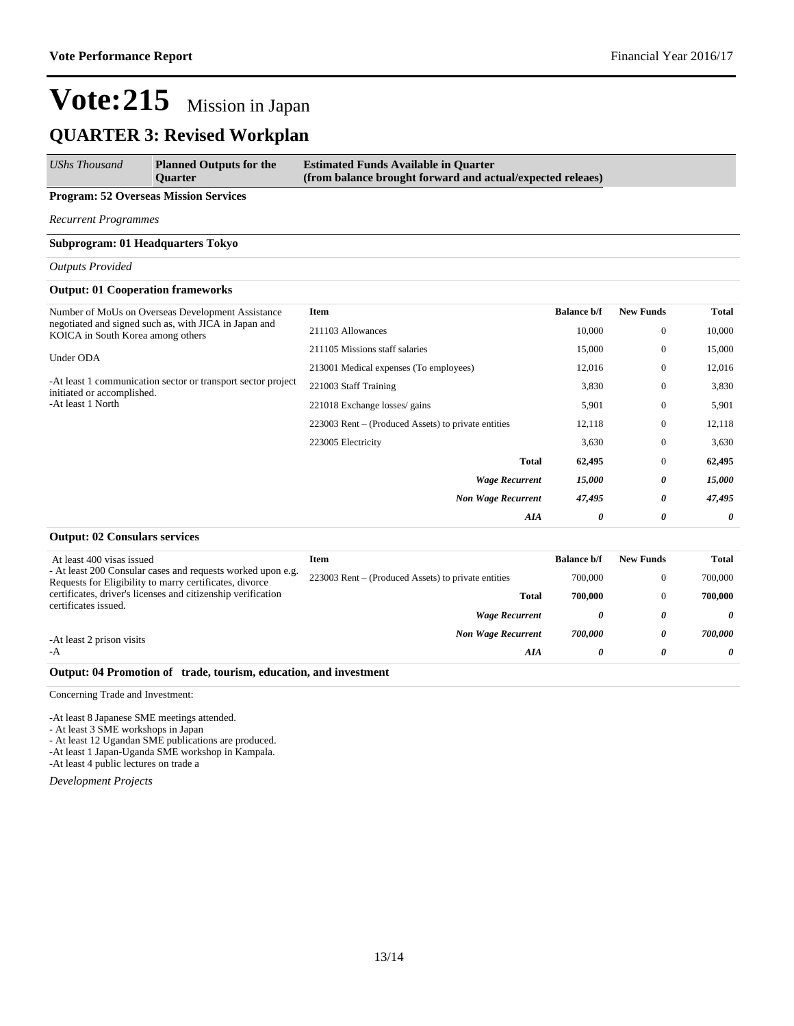### **QUARTER 3: Revised Workplan**

| <b>UShs Thousand</b> | <b>Planned Outputs for the</b><br><b>Ouarter</b> | <b>Estimated Funds Available in Quarter</b><br>(from balance brought forward and actual/expected releaes) |
|----------------------|--------------------------------------------------|-----------------------------------------------------------------------------------------------------------|
|                      |                                                  |                                                                                                           |

#### **Program: 52 Overseas Mission Services**

*Recurrent Programmes*

#### **Subprogram: 01 Headquarters Tokyo**

*Outputs Provided*

#### **Output: 01 Cooperation frameworks**

| Number of MoUs on Overseas Development Assistance                                          | Item                                                | <b>Balance b/f</b> | <b>New Funds</b> | <b>Total</b> |
|--------------------------------------------------------------------------------------------|-----------------------------------------------------|--------------------|------------------|--------------|
| negotiated and signed such as, with JICA in Japan and<br>KOICA in South Korea among others | 211103 Allowances                                   | 10,000             | $\mathbf{0}$     | 10,000       |
| Under ODA                                                                                  | 211105 Missions staff salaries                      | 15,000             | $\mathbf{0}$     | 15,000       |
|                                                                                            | 213001 Medical expenses (To employees)              | 12,016             | $\mathbf{0}$     | 12,016       |
| -At least 1 communication sector or transport sector project<br>initiated or accomplished. | 221003 Staff Training                               | 3,830              | $\mathbf{0}$     | 3,830        |
| -At least 1 North                                                                          | 221018 Exchange losses/ gains                       | 5,901              | $\mathbf{0}$     | 5,901        |
|                                                                                            | 223003 Rent – (Produced Assets) to private entities | 12,118             | $\mathbf{0}$     | 12,118       |
|                                                                                            | 223005 Electricity                                  | 3,630              | $\mathbf{0}$     | 3,630        |
|                                                                                            | <b>Total</b>                                        | 62,495             | $\mathbf{0}$     | 62,495       |
|                                                                                            | <b>Wage Recurrent</b>                               | 15,000             | 0                | 15,000       |
|                                                                                            | <b>Non Wage Recurrent</b>                           | 47,495             | 0                | 47,495       |
|                                                                                            | AIA                                                 | $\theta$           | 0                | $\theta$     |
|                                                                                            |                                                     |                    |                  |              |

#### **Output: 02 Consulars services**

| At least 400 visas issued                                                                                              | Item                                                | <b>Balance b/f</b> | <b>New Funds</b> | Total   |
|------------------------------------------------------------------------------------------------------------------------|-----------------------------------------------------|--------------------|------------------|---------|
| - At least 200 Consular cases and requests worked upon e.g.<br>Requests for Eligibility to marry certificates, divorce | 223003 Rent – (Produced Assets) to private entities | 700,000            | O                | 700,000 |
| certificates, driver's licenses and citizenship verification                                                           | <b>Total</b>                                        | 700,000            |                  | 700.000 |
| certificates issued.                                                                                                   | <b>Wage Recurrent</b>                               | 0                  | 0                | 0       |
| -At least 2 prison visits                                                                                              | <b>Non Wage Recurrent</b>                           | 700.000            | 0                | 700.000 |
| -A                                                                                                                     | AIA                                                 | 0                  | $\theta$         | 0       |
|                                                                                                                        |                                                     |                    |                  |         |

#### **Output: 04 Promotion of trade, tourism, education, and investment**

Concerning Trade and Investment:

-At least 8 Japanese SME meetings attended.

- At least 3 SME workshops in Japan

- At least 12 Ugandan SME publications are produced.

-At least 1 Japan-Uganda SME workshop in Kampala. -At least 4 public lectures on trade a

*Development Projects*